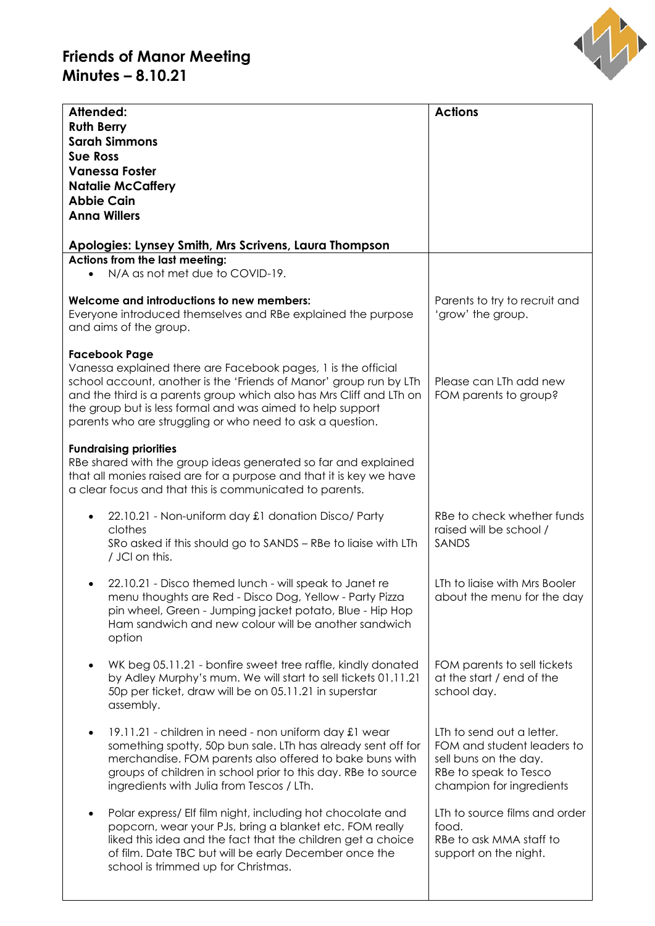## **Friends of Manor Meeting Minutes – 8.10.21**



| Attended:<br><b>Ruth Berry</b><br><b>Sarah Simmons</b><br><b>Sue Ross</b><br><b>Vanessa Foster</b><br><b>Natalie McCaffery</b><br><b>Abbie Cain</b><br><b>Anna Willers</b>                                                                                                                                                                                     | <b>Actions</b>                                                                                                                        |
|----------------------------------------------------------------------------------------------------------------------------------------------------------------------------------------------------------------------------------------------------------------------------------------------------------------------------------------------------------------|---------------------------------------------------------------------------------------------------------------------------------------|
| Apologies: Lynsey Smith, Mrs Scrivens, Laura Thompson<br>Actions from the last meeting:                                                                                                                                                                                                                                                                        |                                                                                                                                       |
| N/A as not met due to COVID-19.                                                                                                                                                                                                                                                                                                                                |                                                                                                                                       |
| Welcome and introductions to new members:<br>Everyone introduced themselves and RBe explained the purpose<br>and aims of the group.                                                                                                                                                                                                                            | Parents to try to recruit and<br>'grow' the group.                                                                                    |
| <b>Facebook Page</b><br>Vanessa explained there are Facebook pages, 1 is the official<br>school account, another is the 'Friends of Manor' group run by LTh<br>and the third is a parents group which also has Mrs Cliff and LTh on<br>the group but is less formal and was aimed to help support<br>parents who are struggling or who need to ask a question. | Please can LTh add new<br>FOM parents to group?                                                                                       |
| <b>Fundraising priorities</b><br>RBe shared with the group ideas generated so far and explained<br>that all monies raised are for a purpose and that it is key we have<br>a clear focus and that this is communicated to parents.                                                                                                                              |                                                                                                                                       |
| 22.10.21 - Non-uniform day £1 donation Disco/ Party<br>clothes<br>SRo asked if this should go to SANDS - RBe to liaise with LTh<br>/ JCI on this.                                                                                                                                                                                                              | RBe to check whether funds<br>raised will be school /<br>SANDS                                                                        |
| 22.10.21 - Disco themed lunch - will speak to Janet re<br>menu thoughts are Red - Disco Dog, Yellow - Party Pizza<br>pin wheel, Green - Jumping jacket potato, Blue - Hip Hop<br>Ham sandwich and new colour will be another sandwich<br>option                                                                                                                | LTh to ligise with Mrs Booler<br>about the menu for the day                                                                           |
| WK beg 05.11.21 - bonfire sweet tree raffle, kindly donated<br>by Adley Murphy's mum. We will start to sell tickets 01.11.21<br>50p per ticket, draw will be on 05.11.21 in superstar<br>assembly.                                                                                                                                                             | FOM parents to sell tickets<br>at the start / end of the<br>school day.                                                               |
| 19.11.21 - children in need - non uniform day £1 wear<br>$\bullet$<br>something spotty, 50p bun sale. LTh has already sent off for<br>merchandise. FOM parents also offered to bake buns with<br>groups of children in school prior to this day. RBe to source<br>ingredients with Julia from Tescos / LTh.                                                    | LTh to send out a letter.<br>FOM and student leaders to<br>sell buns on the day.<br>RBe to speak to Tesco<br>champion for ingredients |
| Polar express/ Elf film night, including hot chocolate and<br>popcorn, wear your PJs, bring a blanket etc. FOM really<br>liked this idea and the fact that the children get a choice<br>of film. Date TBC but will be early December once the<br>school is trimmed up for Christmas.                                                                           | LTh to source films and order<br>food.<br>RBe to ask MMA staff to<br>support on the night.                                            |